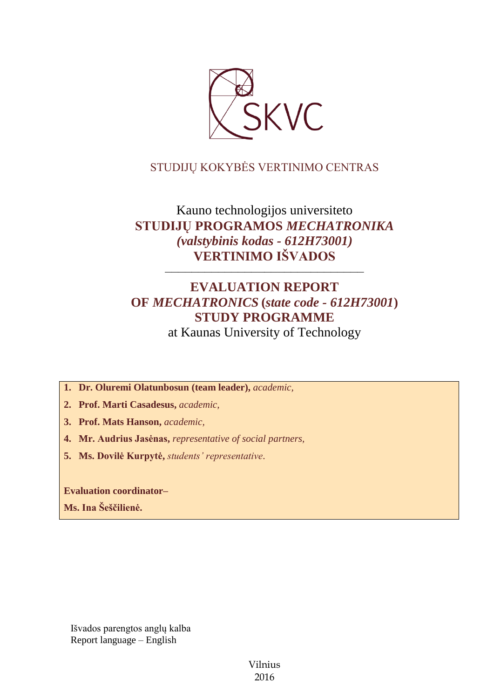

## STUDIJŲ KOKYBĖS VERTINIMO CENTRAS

# Kauno technologijos universiteto **STUDIJŲ PROGRAMOS** *MECHATRONIKA (valstybinis kodas - 612H73001)* **VERTINIMO IŠVADOS**

# **EVALUATION REPORT OF** *MECHATRONICS* **(***state code - 612H73001***) STUDY PROGRAMME** at Kaunas University of Technology

––––––––––––––––––––––––––––––

**1. Dr. Oluremi Olatunbosun (team leader),** *academic,*

**2. Prof. Marti Casadesus,** *academic,*

**3. Prof. Mats Hanson,** *academic,*

**4. Mr. Audrius Jasėnas,** *representative of social partners,*

**5. Ms. Dovilė Kurpytė,** *students' representative*.

**Evaluation coordinator–**

**Ms. Ina Šeščilienė.**

Išvados parengtos anglų kalba Report language – English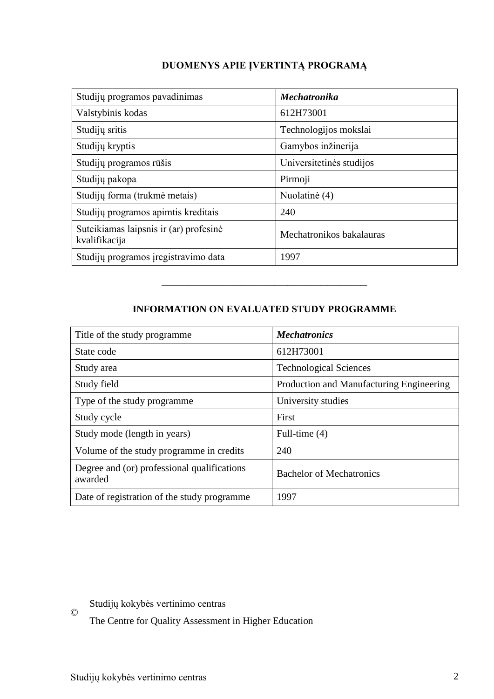## **DUOMENYS APIE ĮVERTINTĄ PROGRAMĄ**

| Studijų programos pavadinimas                           | <b>Mechatronika</b>      |
|---------------------------------------------------------|--------------------------|
| Valstybinis kodas                                       | 612H73001                |
| Studijų sritis                                          | Technologijos mokslai    |
| Studijų kryptis                                         | Gamybos inžinerija       |
| Studijų programos rūšis                                 | Universitetinės studijos |
| Studijų pakopa                                          | Pirmoji                  |
| Studijų forma (trukmė metais)                           | Nuolatinė (4)            |
| Studijų programos apimtis kreditais                     | 240                      |
| Suteikiamas laipsnis ir (ar) profesinė<br>kvalifikacija | Mechatronikos bakalauras |
| Studijų programos įregistravimo data                    | 1997                     |

## **INFORMATION ON EVALUATED STUDY PROGRAMME**

–––––––––––––––––––––––––––––––

| Title of the study programme                           | <b>Mechatronics</b>                      |
|--------------------------------------------------------|------------------------------------------|
| State code                                             | 612H73001                                |
| Study area                                             | <b>Technological Sciences</b>            |
| Study field                                            | Production and Manufacturing Engineering |
| Type of the study programme                            | University studies                       |
| Study cycle                                            | First                                    |
| Study mode (length in years)                           | Full-time (4)                            |
| Volume of the study programme in credits               | 240                                      |
| Degree and (or) professional qualifications<br>awarded | <b>Bachelor of Mechatronics</b>          |
| Date of registration of the study programme            | 1997                                     |

 $\odot$ Studijų kokybės vertinimo centras

The Centre for Quality Assessment in Higher Education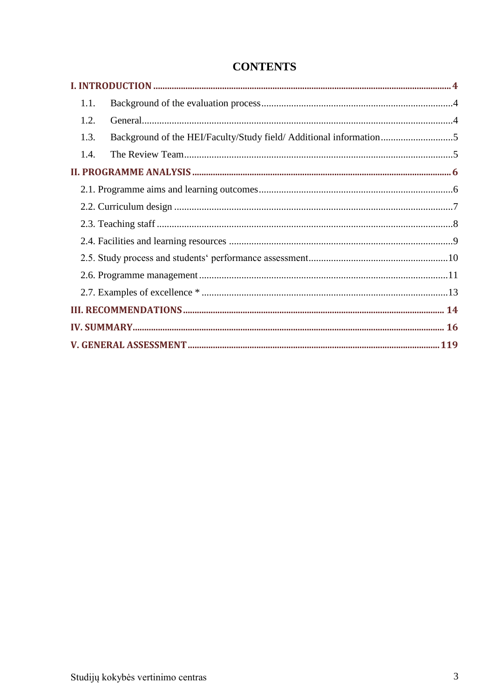| 1.1.                                                                      |  |
|---------------------------------------------------------------------------|--|
| 1.2.                                                                      |  |
| Background of the HEI/Faculty/Study field/ Additional information<br>1.3. |  |
| 1.4.                                                                      |  |
|                                                                           |  |
|                                                                           |  |
|                                                                           |  |
|                                                                           |  |
|                                                                           |  |
|                                                                           |  |
|                                                                           |  |
|                                                                           |  |
|                                                                           |  |
|                                                                           |  |
|                                                                           |  |

# **CONTENTS**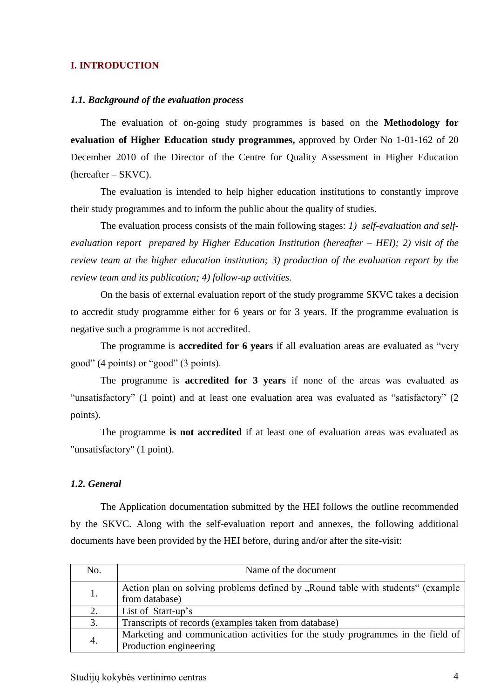#### <span id="page-3-0"></span>**I. INTRODUCTION**

#### <span id="page-3-1"></span>*1.1. Background of the evaluation process*

The evaluation of on-going study programmes is based on the **Methodology for evaluation of Higher Education study programmes,** approved by Order No 1-01-162 of 20 December 2010 of the Director of the Centre for Quality Assessment in Higher Education (hereafter – SKVC).

The evaluation is intended to help higher education institutions to constantly improve their study programmes and to inform the public about the quality of studies.

The evaluation process consists of the main following stages: *1) self-evaluation and selfevaluation report prepared by Higher Education Institution (hereafter – HEI); 2) visit of the review team at the higher education institution; 3) production of the evaluation report by the review team and its publication; 4) follow-up activities.* 

On the basis of external evaluation report of the study programme SKVC takes a decision to accredit study programme either for 6 years or for 3 years. If the programme evaluation is negative such a programme is not accredited.

The programme is **accredited for 6 years** if all evaluation areas are evaluated as "very good" (4 points) or "good" (3 points).

The programme is **accredited for 3 years** if none of the areas was evaluated as "unsatisfactory" (1 point) and at least one evaluation area was evaluated as "satisfactory" (2 points).

The programme **is not accredited** if at least one of evaluation areas was evaluated as "unsatisfactory" (1 point).

#### <span id="page-3-2"></span>*1.2. General*

The Application documentation submitted by the HEI follows the outline recommended by the SKVC. Along with the self-evaluation report and annexes, the following additional documents have been provided by the HEI before, during and/or after the site-visit:

| No. | Name of the document                                                                                      |
|-----|-----------------------------------------------------------------------------------------------------------|
| 1.  | Action plan on solving problems defined by "Round table with students" (example<br>from database)         |
| 2.  | List of Start-up's                                                                                        |
| 3.  | Transcripts of records (examples taken from database)                                                     |
| 4.  | Marketing and communication activities for the study programmes in the field of<br>Production engineering |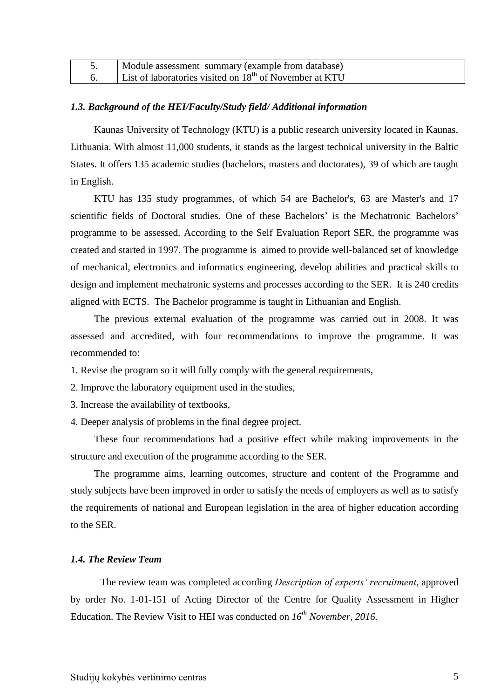| Module assessment summary (example from database)         |
|-----------------------------------------------------------|
| List of laboratories visited on $18th$ of November at KTU |

#### <span id="page-4-0"></span>*1.3. Background of the HEI/Faculty/Study field/ Additional information*

Kaunas University of Technology (KTU) is a public research university located in Kaunas, Lithuania. With almost 11,000 students, it stands as the largest technical university in the Baltic States. It offers 135 academic studies (bachelors, masters and doctorates), 39 of which are taught in English.

KTU has 135 study programmes, of which 54 are Bachelor's, 63 are Master's and 17 scientific fields of Doctoral studies. One of these Bachelors' is the Mechatronic Bachelors' programme to be assessed. According to the Self Evaluation Report SER, the programme was created and started in 1997. The programme is aimed to provide well-balanced set of knowledge of mechanical, electronics and informatics engineering, develop abilities and practical skills to design and implement mechatronic systems and processes according to the SER. It is 240 credits aligned with ECTS. The Bachelor programme is taught in Lithuanian and English.

The previous external evaluation of the programme was carried out in 2008. It was assessed and accredited, with four recommendations to improve the programme. It was recommended to:

- 1. Revise the program so it will fully comply with the general requirements,
- 2. Improve the laboratory equipment used in the studies,
- 3. Increase the availability of textbooks,
- 4. Deeper analysis of problems in the final degree project.

These four recommendations had a positive effect while making improvements in the structure and execution of the programme according to the SER.

The programme aims, learning outcomes, structure and content of the Programme and study subjects have been improved in order to satisfy the needs of employers as well as to satisfy the requirements of national and European legislation in the area of higher education according to the SER.

#### <span id="page-4-1"></span>*1.4. The Review Team*

The review team was completed according *Description of experts' recruitment*, approved by order No. 1-01-151 of Acting Director of the Centre for Quality Assessment in Higher Education. The Review Visit to HEI was conducted on *16 th November, 2016.*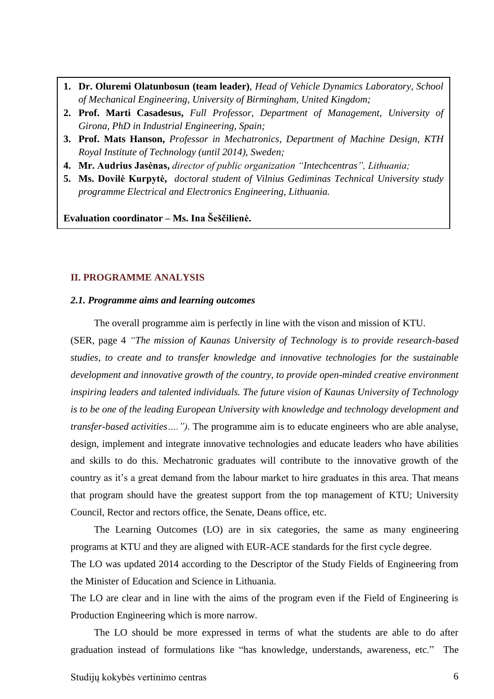- **1. Dr. Oluremi Olatunbosun (team leader)**, *Head of Vehicle Dynamics Laboratory, School of Mechanical Engineering, University of Birmingham, United Kingdom;*
- **2. Prof. Marti Casadesus,** *Full Professor, Department of Management, University of Girona, PhD in Industrial Engineering, Spain;*
- **3. Prof. Mats Hanson,** *Professor in Mechatronics, Department of Machine Design, KTH Royal Institute of Technology (until 2014), Sweden;*
- **4. Mr. Audrius Jasėnas,** *director of public organization "Intechcentras", Lithuania;*
- <span id="page-5-0"></span>**5. Ms. Dovilė Kurpytė,** *doctoral student of Vilnius Gediminas Technical University study programme Electrical and Electronics Engineering, Lithuania.*

**Evaluation coordinator – Ms. Ina Šeščilienė.**

#### **II. PROGRAMME ANALYSIS**

#### <span id="page-5-1"></span>*2.1. Programme aims and learning outcomes*

The overall programme aim is perfectly in line with the vison and mission of KTU.

(SER, page 4 *"The mission of Kaunas University of Technology is to provide research-based studies, to create and to transfer knowledge and innovative technologies for the sustainable development and innovative growth of the country, to provide open-minded creative environment inspiring leaders and talented individuals. The future vision of Kaunas University of Technology is to be one of the leading European University with knowledge and technology development and transfer-based activities….").* The programme aim is to educate engineers who are able analyse, design, implement and integrate innovative technologies and educate leaders who have abilities and skills to do this. Mechatronic graduates will contribute to the innovative growth of the country as it's a great demand from the labour market to hire graduates in this area. That means that program should have the greatest support from the top management of KTU; University Council, Rector and rectors office, the Senate, Deans office, etc.

The Learning Outcomes (LO) are in six categories, the same as many engineering programs at KTU and they are aligned with EUR-ACE standards for the first cycle degree. The LO was updated 2014 according to the Descriptor of the Study Fields of Engineering from the Minister of Education and Science in Lithuania.

The LO are clear and in line with the aims of the program even if the Field of Engineering is Production Engineering which is more narrow.

The LO should be more expressed in terms of what the students are able to do after graduation instead of formulations like "has knowledge, understands, awareness, etc." The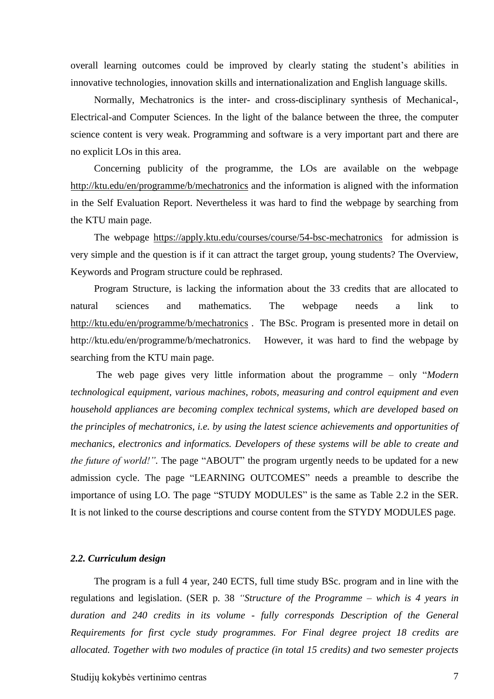overall learning outcomes could be improved by clearly stating the student's abilities in innovative technologies, innovation skills and internationalization and English language skills.

Normally, Mechatronics is the inter- and cross-disciplinary synthesis of Mechanical-, Electrical-and Computer Sciences. In the light of the balance between the three, the computer science content is very weak. Programming and software is a very important part and there are no explicit LOs in this area.

Concerning publicity of the programme, the LOs are available on the webpage <http://ktu.edu/en/programme/b/mechatronics> and the information is aligned with the information in the Self Evaluation Report. Nevertheless it was hard to find the webpage by searching from the KTU main page.

The webpage <https://apply.ktu.edu/courses/course/54-bsc-mechatronics>for admission is very simple and the question is if it can attract the target group, young students? The Overview, Keywords and Program structure could be rephrased.

Program Structure, is lacking the information about the 33 credits that are allocated to natural sciences and mathematics. The webpage needs a link to <http://ktu.edu/en/programme/b/mechatronics> . The BSc. Program is presented more in detail on [http://ktu.edu/en/programme/b/mechatronics.](http://ktu.edu/en/programme/b/mechatronics) However, it was hard to find the webpage by searching from the KTU main page.

The web page gives very little information about the programme – only "*Modern technological equipment, various machines, robots, measuring and control equipment and even household appliances are becoming complex technical systems, which are developed based on the principles of mechatronics, i.e. by using the latest science achievements and opportunities of mechanics, electronics and informatics. Developers of these systems will be able to create and the future of world!".* The page "ABOUT" the program urgently needs to be updated for a new admission cycle. The page "LEARNING OUTCOMES" needs a preamble to describe the importance of using LO. The page "STUDY MODULES" is the same as Table 2.2 in the SER. It is not linked to the course descriptions and course content from the STYDY MODULES page.

#### <span id="page-6-0"></span>*2.2. Curriculum design*

The program is a full 4 year, 240 ECTS, full time study BSc. program and in line with the regulations and legislation. (SER p. 38 *"Structure of the Programme – which is 4 years in duration and 240 credits in its volume - fully corresponds Description of the General Requirements for first cycle study programmes. For Final degree project 18 credits are allocated. Together with two modules of practice (in total 15 credits) and two semester projects*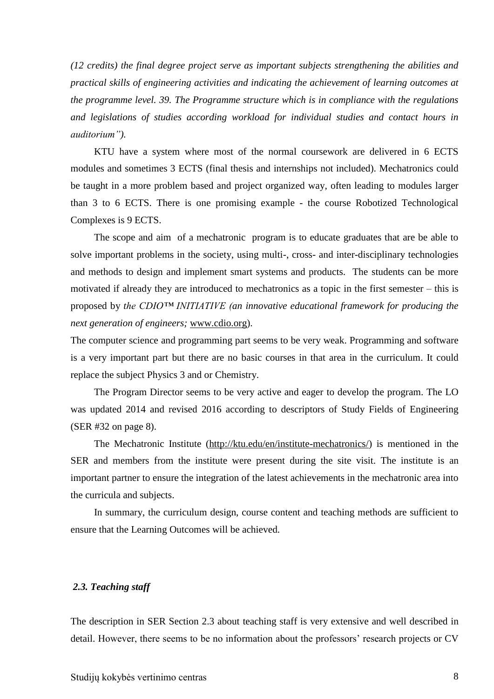*(12 credits) the final degree project serve as important subjects strengthening the abilities and practical skills of engineering activities and indicating the achievement of learning outcomes at the programme level. 39. The Programme structure which is in compliance with the regulations and legislations of studies according workload for individual studies and contact hours in auditorium").*

KTU have a system where most of the normal coursework are delivered in 6 ECTS modules and sometimes 3 ECTS (final thesis and internships not included). Mechatronics could be taught in a more problem based and project organized way, often leading to modules larger than 3 to 6 ECTS. There is one promising example - the course Robotized Technological Complexes is 9 ECTS.

The scope and aim of a mechatronic program is to educate graduates that are be able to solve important problems in the society, using multi-, cross- and inter-disciplinary technologies and methods to design and implement smart systems and products. The students can be more motivated if already they are introduced to mechatronics as a topic in the first semester – this is proposed by *the CDIO™ INITIATIVE (an innovative educational framework for producing the next generation of engineers;* [www.cdio.org\)](http://www.cdio.org/).

The computer science and programming part seems to be very weak. Programming and software is a very important part but there are no basic courses in that area in the curriculum. It could replace the subject Physics 3 and or Chemistry.

The Program Director seems to be very active and eager to develop the program. The LO was updated 2014 and revised 2016 according to descriptors of Study Fields of Engineering (SER #32 on page 8).

The Mechatronic Institute [\(http://ktu.edu/en/institute-mechatronics/\)](http://ktu.edu/en/institute-mechatronics/) is mentioned in the SER and members from the institute were present during the site visit. The institute is an important partner to ensure the integration of the latest achievements in the mechatronic area into the curricula and subjects.

In summary, the curriculum design, course content and teaching methods are sufficient to ensure that the Learning Outcomes will be achieved.

#### <span id="page-7-0"></span>*2.3. Teaching staff*

The description in SER Section 2.3 about teaching staff is very extensive and well described in detail. However, there seems to be no information about the professors' research projects or CV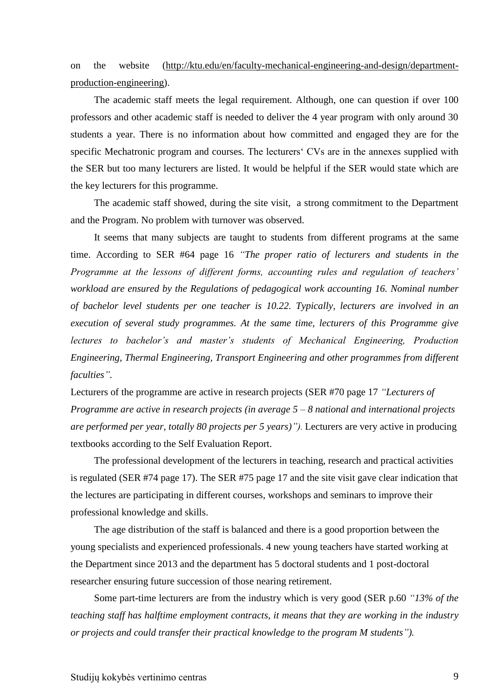on the website [\(http://ktu.edu/en/faculty-mechanical-engineering-and-design/department](http://ktu.edu/en/faculty-mechanical-engineering-and-design/department-production-engineering)[production-engineering\)](http://ktu.edu/en/faculty-mechanical-engineering-and-design/department-production-engineering).

The academic staff meets the legal requirement. Although, one can question if over 100 professors and other academic staff is needed to deliver the 4 year program with only around 30 students a year. There is no information about how committed and engaged they are for the specific Mechatronic program and courses. The lecturers' CVs are in the annexes supplied with the SER but too many lecturers are listed. It would be helpful if the SER would state which are the key lecturers for this programme.

The academic staff showed, during the site visit, a strong commitment to the Department and the Program. No problem with turnover was observed.

It seems that many subjects are taught to students from different programs at the same time. According to SER #64 page 16 *"The proper ratio of lecturers and students in the Programme at the lessons of different forms, accounting rules and regulation of teachers' workload are ensured by the Regulations of pedagogical work accounting 16. Nominal number of bachelor level students per one teacher is 10.22. Typically, lecturers are involved in an execution of several study programmes. At the same time, lecturers of this Programme give lectures to bachelor's and master's students of Mechanical Engineering, Production Engineering, Thermal Engineering, Transport Engineering and other programmes from different faculties".*

Lecturers of the programme are active in research projects (SER #70 page 17 *"Lecturers of Programme are active in research projects (in average 5 – 8 national and international projects are performed per year, totally 80 projects per 5 years)").* Lecturers are very active in producing textbooks according to the Self Evaluation Report.

The professional development of the lecturers in teaching, research and practical activities is regulated (SER #74 page 17). The SER #75 page 17 and the site visit gave clear indication that the lectures are participating in different courses, workshops and seminars to improve their professional knowledge and skills.

The age distribution of the staff is balanced and there is a good proportion between the young specialists and experienced professionals. 4 new young teachers have started working at the Department since 2013 and the department has 5 doctoral students and 1 post-doctoral researcher ensuring future succession of those nearing retirement.

Some part-time lecturers are from the industry which is very good (SER p.60 *"13% of the teaching staff has halftime employment contracts, it means that they are working in the industry or projects and could transfer their practical knowledge to the program M students").*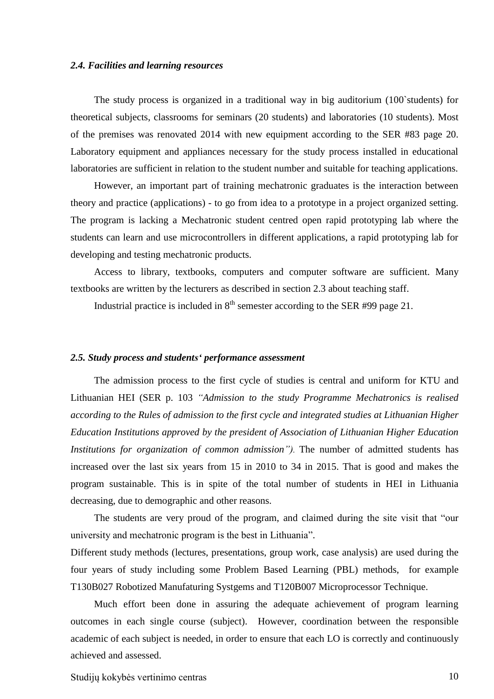#### <span id="page-9-0"></span>*2.4. Facilities and learning resources*

The study process is organized in a traditional way in big auditorium (100`students) for theoretical subjects, classrooms for seminars (20 students) and laboratories (10 students). Most of the premises was renovated 2014 with new equipment according to the SER #83 page 20. Laboratory equipment and appliances necessary for the study process installed in educational laboratories are sufficient in relation to the student number and suitable for teaching applications.

However, an important part of training mechatronic graduates is the interaction between theory and practice (applications) - to go from idea to a prototype in a project organized setting. The program is lacking a Mechatronic student centred open rapid prototyping lab where the students can learn and use microcontrollers in different applications, a rapid prototyping lab for developing and testing mechatronic products.

Access to library, textbooks, computers and computer software are sufficient. Many textbooks are written by the lecturers as described in section 2.3 about teaching staff.

Industrial practice is included in  $8<sup>th</sup>$  semester according to the SER #99 page 21.

#### <span id="page-9-1"></span>*2.5. Study process and students' performance assessment*

The admission process to the first cycle of studies is central and uniform for KTU and Lithuanian HEI (SER p. 103 *"Admission to the study Programme Mechatronics is realised according to the Rules of admission to the first cycle and integrated studies at Lithuanian Higher Education Institutions approved by the president of Association of Lithuanian Higher Education Institutions for organization of common admission").* The number of admitted students has increased over the last six years from 15 in 2010 to 34 in 2015. That is good and makes the program sustainable. This is in spite of the total number of students in HEI in Lithuania decreasing, due to demographic and other reasons.

The students are very proud of the program, and claimed during the site visit that "our university and mechatronic program is the best in Lithuania".

Different study methods (lectures, presentations, group work, case analysis) are used during the four years of study including some Problem Based Learning (PBL) methods, for example T130B027 Robotized Manufaturing Systgems and T120B007 Microprocessor Technique.

Much effort been done in assuring the adequate achievement of program learning outcomes in each single course (subject). However, coordination between the responsible academic of each subject is needed, in order to ensure that each LO is correctly and continuously achieved and assessed.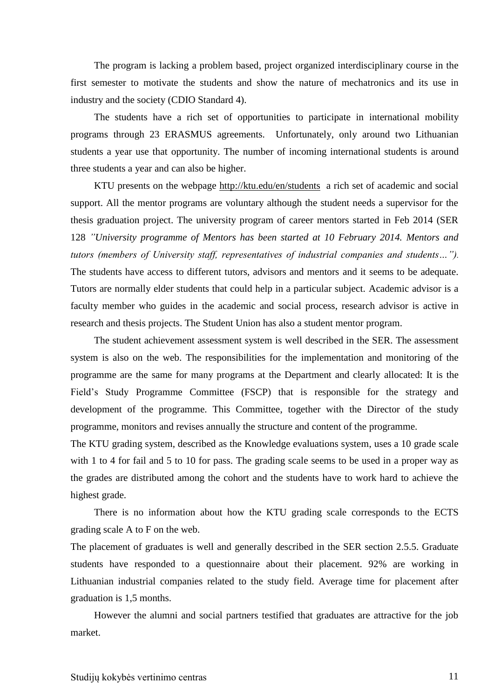The program is lacking a problem based, project organized interdisciplinary course in the first semester to motivate the students and show the nature of mechatronics and its use in industry and the society (CDIO Standard 4).

The students have a rich set of opportunities to participate in international mobility programs through 23 ERASMUS agreements. Unfortunately, only around two Lithuanian students a year use that opportunity. The number of incoming international students is around three students a year and can also be higher.

KTU presents on the webpage<http://ktu.edu/en/students> a rich set of academic and social support. All the mentor programs are voluntary although the student needs a supervisor for the thesis graduation project. The university program of career mentors started in Feb 2014 (SER 128 *"University programme of Mentors has been started at 10 February 2014. Mentors and tutors (members of University staff, representatives of industrial companies and students…").* The students have access to different tutors, advisors and mentors and it seems to be adequate. Tutors are normally elder students that could help in a particular subject. Academic advisor is a faculty member who guides in the academic and social process, research advisor is active in research and thesis projects. The Student Union has also a student mentor program.

The student achievement assessment system is well described in the SER. The assessment system is also on the web. The responsibilities for the implementation and monitoring of the programme are the same for many programs at the Department and clearly allocated: It is the Field's Study Programme Committee (FSCP) that is responsible for the strategy and development of the programme. This Committee, together with the Director of the study programme, monitors and revises annually the structure and content of the programme.

The KTU grading system, described as the Knowledge evaluations system, uses a 10 grade scale with 1 to 4 for fail and 5 to 10 for pass. The grading scale seems to be used in a proper way as the grades are distributed among the cohort and the students have to work hard to achieve the highest grade.

There is no information about how the KTU grading scale corresponds to the ECTS grading scale A to F on the web.

The placement of graduates is well and generally described in the SER section 2.5.5. Graduate students have responded to a questionnaire about their placement. 92% are working in Lithuanian industrial companies related to the study field. Average time for placement after graduation is 1,5 months.

However the alumni and social partners testified that graduates are attractive for the job market.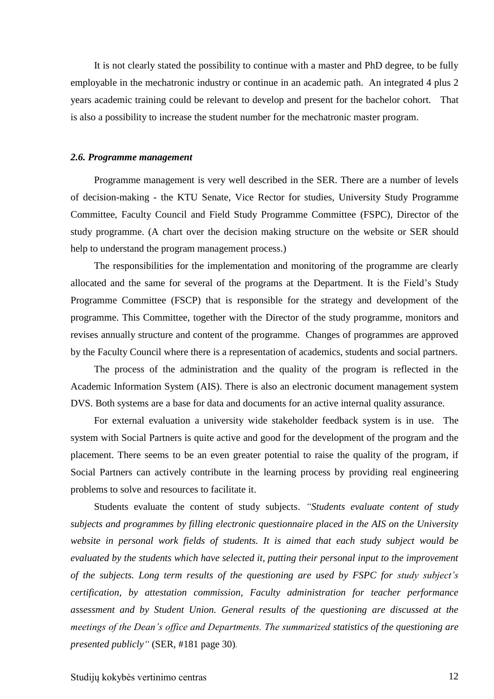It is not clearly stated the possibility to continue with a master and PhD degree, to be fully employable in the mechatronic industry or continue in an academic path. An integrated 4 plus 2 years academic training could be relevant to develop and present for the bachelor cohort. That is also a possibility to increase the student number for the mechatronic master program.

#### <span id="page-11-0"></span>*2.6. Programme management*

Programme management is very well described in the SER. There are a number of levels of decision-making - the KTU Senate, Vice Rector for studies, University Study Programme Committee, Faculty Council and Field Study Programme Committee (FSPC), Director of the study programme. (A chart over the decision making structure on the website or SER should help to understand the program management process.)

The responsibilities for the implementation and monitoring of the programme are clearly allocated and the same for several of the programs at the Department. It is the Field's Study Programme Committee (FSCP) that is responsible for the strategy and development of the programme. This Committee, together with the Director of the study programme, monitors and revises annually structure and content of the programme. Changes of programmes are approved by the Faculty Council where there is a representation of academics, students and social partners.

The process of the administration and the quality of the program is reflected in the Academic Information System (AIS). There is also an electronic document management system DVS. Both systems are a base for data and documents for an active internal quality assurance.

For external evaluation a university wide stakeholder feedback system is in use. The system with Social Partners is quite active and good for the development of the program and the placement. There seems to be an even greater potential to raise the quality of the program, if Social Partners can actively contribute in the learning process by providing real engineering problems to solve and resources to facilitate it.

Students evaluate the content of study subjects. *"Students evaluate content of study subjects and programmes by filling electronic questionnaire placed in the AIS on the University website in personal work fields of students. It is aimed that each study subject would be evaluated by the students which have selected it, putting their personal input to the improvement of the subjects. Long term results of the questioning are used by FSPC for study subject's certification, by attestation commission, Faculty administration for teacher performance assessment and by Student Union. General results of the questioning are discussed at the meetings of the Dean's office and Departments. The summarized statistics of the questioning are presented publicly"* (SER, #181 page 30)*.*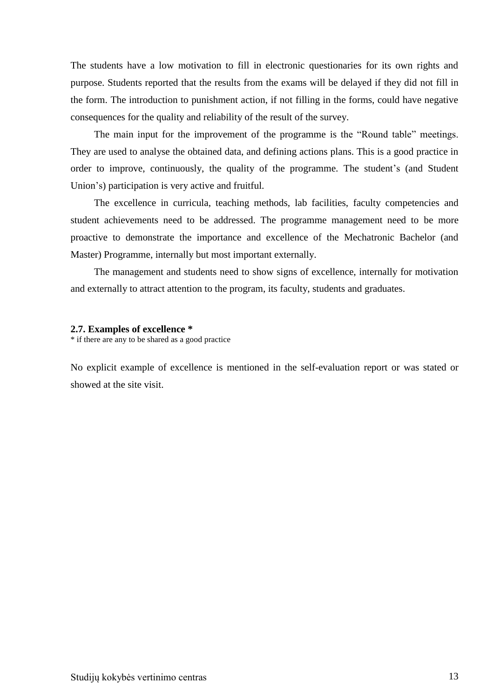The students have a low motivation to fill in electronic questionaries for its own rights and purpose. Students reported that the results from the exams will be delayed if they did not fill in the form. The introduction to punishment action, if not filling in the forms, could have negative consequences for the quality and reliability of the result of the survey.

The main input for the improvement of the programme is the "Round table" meetings. They are used to analyse the obtained data, and defining actions plans. This is a good practice in order to improve, continuously, the quality of the programme. The student's (and Student Union's) participation is very active and fruitful.

The excellence in curricula, teaching methods, lab facilities, faculty competencies and student achievements need to be addressed. The programme management need to be more proactive to demonstrate the importance and excellence of the Mechatronic Bachelor (and Master) Programme, internally but most important externally.

The management and students need to show signs of excellence, internally for motivation and externally to attract attention to the program, its faculty, students and graduates.

#### <span id="page-12-0"></span>**2.7. Examples of excellence \***

\* if there are any to be shared as a good practice

No explicit example of excellence is mentioned in the self-evaluation report or was stated or showed at the site visit.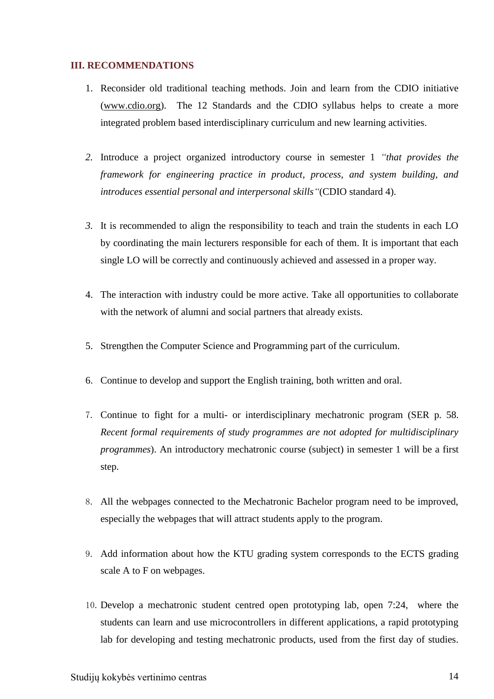#### <span id="page-13-0"></span>**III. RECOMMENDATIONS**

- 1. Reconsider old traditional teaching methods. Join and learn from the CDIO initiative [\(www.cdio.org\)](http://www.cdio.org/). The 12 Standards and the CDIO syllabus helps to create a more integrated problem based interdisciplinary curriculum and new learning activities.
- *2.* Introduce a project organized introductory course in semester 1 *"that provides the framework for engineering practice in product, process, and system building, and introduces essential personal and interpersonal skills"*(CDIO standard 4).
- *3.* It is recommended to align the responsibility to teach and train the students in each LO by coordinating the main lecturers responsible for each of them. It is important that each single LO will be correctly and continuously achieved and assessed in a proper way.
- 4. The interaction with industry could be more active. Take all opportunities to collaborate with the network of alumni and social partners that already exists.
- 5. Strengthen the Computer Science and Programming part of the curriculum.
- 6. Continue to develop and support the English training, both written and oral.
- 7. Continue to fight for a multi- or interdisciplinary mechatronic program (SER p. 58. *Recent formal requirements of study programmes are not adopted for multidisciplinary programmes*). An introductory mechatronic course (subject) in semester 1 will be a first step.
- 8. All the webpages connected to the Mechatronic Bachelor program need to be improved, especially the webpages that will attract students apply to the program.
- 9. Add information about how the KTU grading system corresponds to the ECTS grading scale A to F on webpages.
- 10.Develop a mechatronic student centred open prototyping lab, open 7:24, where the students can learn and use microcontrollers in different applications, a rapid prototyping lab for developing and testing mechatronic products, used from the first day of studies.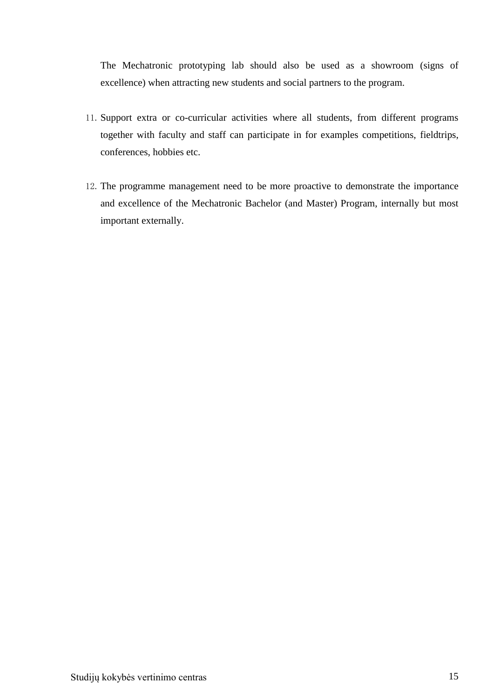The Mechatronic prototyping lab should also be used as a showroom (signs of excellence) when attracting new students and social partners to the program.

- 11.Support extra or co-curricular activities where all students, from different programs together with faculty and staff can participate in for examples competitions, fieldtrips, conferences, hobbies etc.
- 12.The programme management need to be more proactive to demonstrate the importance and excellence of the Mechatronic Bachelor (and Master) Program, internally but most important externally.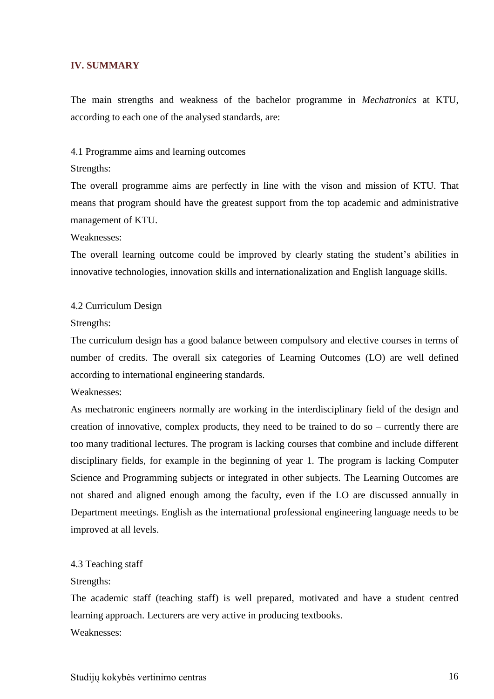#### <span id="page-15-0"></span>**IV. SUMMARY**

The main strengths and weakness of the bachelor programme in *Mechatronics* at KTU, according to each one of the analysed standards, are:

4.1 Programme aims and learning outcomes

#### Strengths:

The overall programme aims are perfectly in line with the vison and mission of KTU. That means that program should have the greatest support from the top academic and administrative management of KTU.

Weaknesses:

The overall learning outcome could be improved by clearly stating the student's abilities in innovative technologies, innovation skills and internationalization and English language skills.

#### 4.2 Curriculum Design

#### Strengths:

The curriculum design has a good balance between compulsory and elective courses in terms of number of credits. The overall six categories of Learning Outcomes (LO) are well defined according to international engineering standards.

Weaknesses:

As mechatronic engineers normally are working in the interdisciplinary field of the design and creation of innovative, complex products, they need to be trained to do so – currently there are too many traditional lectures. The program is lacking courses that combine and include different disciplinary fields, for example in the beginning of year 1. The program is lacking Computer Science and Programming subjects or integrated in other subjects. The Learning Outcomes are not shared and aligned enough among the faculty, even if the LO are discussed annually in Department meetings. English as the international professional engineering language needs to be improved at all levels.

#### 4.3 Teaching staff

#### Strengths:

The academic staff (teaching staff) is well prepared, motivated and have a student centred learning approach. Lecturers are very active in producing textbooks. Weaknesses: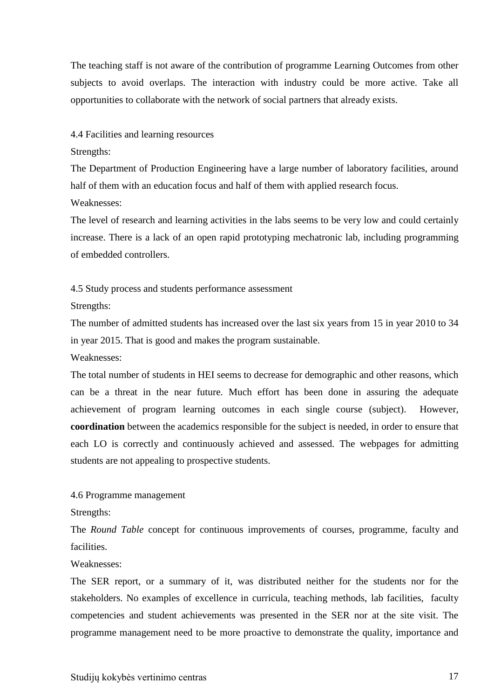The teaching staff is not aware of the contribution of programme Learning Outcomes from other subjects to avoid overlaps. The interaction with industry could be more active. Take all opportunities to collaborate with the network of social partners that already exists.

4.4 Facilities and learning resources

Strengths:

The Department of Production Engineering have a large number of laboratory facilities, around half of them with an education focus and half of them with applied research focus. Weaknesses:

The level of research and learning activities in the labs seems to be very low and could certainly increase. There is a lack of an open rapid prototyping mechatronic lab, including programming of embedded controllers.

4.5 Study process and students performance assessment

Strengths:

The number of admitted students has increased over the last six years from 15 in year 2010 to 34 in year 2015. That is good and makes the program sustainable.

Weaknesses:

The total number of students in HEI seems to decrease for demographic and other reasons, which can be a threat in the near future. Much effort has been done in assuring the adequate achievement of program learning outcomes in each single course (subject). However, **coordination** between the academics responsible for the subject is needed, in order to ensure that each LO is correctly and continuously achieved and assessed. The webpages for admitting students are not appealing to prospective students.

4.6 Programme management

Strengths:

The *Round Table* concept for continuous improvements of courses, programme, faculty and facilities.

Weaknesses:

The SER report, or a summary of it, was distributed neither for the students nor for the stakeholders. No examples of excellence in curricula, teaching methods, lab facilities, faculty competencies and student achievements was presented in the SER nor at the site visit. The programme management need to be more proactive to demonstrate the quality, importance and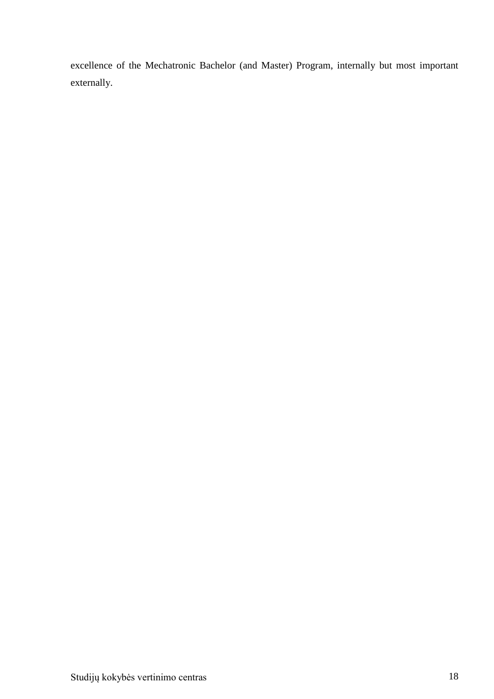excellence of the Mechatronic Bachelor (and Master) Program, internally but most important externally.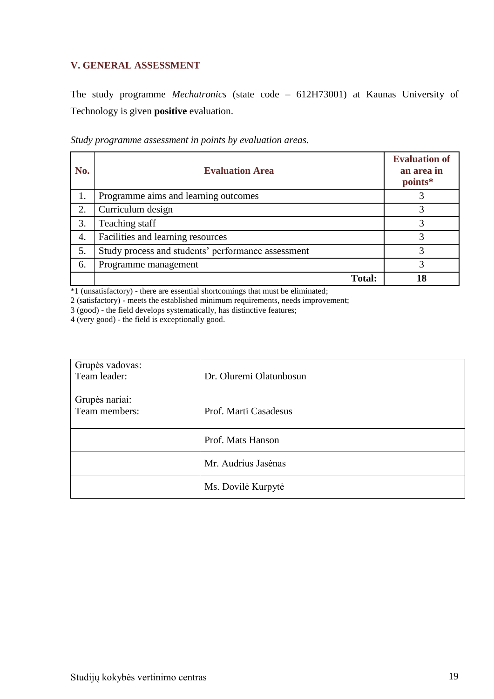## <span id="page-18-0"></span>**V. GENERAL ASSESSMENT**

The study programme *Mechatronics* (state code – 612H73001) at Kaunas University of Technology is given **positive** evaluation.

| Study programme assessment in points by evaluation areas. |  |  |  |
|-----------------------------------------------------------|--|--|--|
|                                                           |  |  |  |

| No. | <b>Evaluation Area</b>                             | <b>Evaluation of</b><br>an area in<br>points* |
|-----|----------------------------------------------------|-----------------------------------------------|
| 1.  | Programme aims and learning outcomes               |                                               |
| 2.  | Curriculum design                                  |                                               |
| 3.  | Teaching staff                                     |                                               |
| 4.  | Facilities and learning resources                  | 3                                             |
| 5.  | Study process and students' performance assessment | 2                                             |
| 6.  | Programme management                               |                                               |
|     | <b>Total:</b>                                      |                                               |

\*1 (unsatisfactory) - there are essential shortcomings that must be eliminated;

2 (satisfactory) - meets the established minimum requirements, needs improvement;

3 (good) - the field develops systematically, has distinctive features;

4 (very good) - the field is exceptionally good.

| Grupės vadovas:<br>Team leader: | Dr. Oluremi Olatunbosun |
|---------------------------------|-------------------------|
| Grupės nariai:<br>Team members: | Prof. Marti Casadesus   |
|                                 | Prof. Mats Hanson       |
|                                 | Mr. Audrius Jasėnas     |
|                                 | Ms. Dovilė Kurpytė      |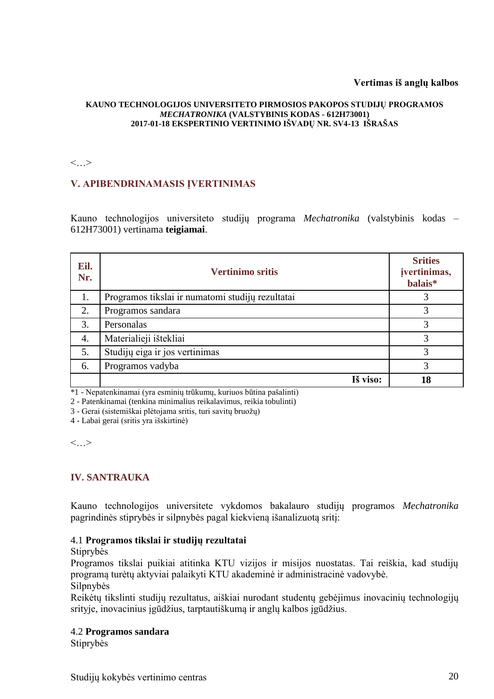#### **Vertimas iš anglų kalbos**

#### **KAUNO TECHNOLOGIJOS UNIVERSITETO PIRMOSIOS PAKOPOS STUDIJŲ PROGRAMOS**  *MECHATRONIKA* **(VALSTYBINIS KODAS - 612H73001) 2017-01-18 EKSPERTINIO VERTINIMO IŠVADŲ NR. SV4-13 IŠRAŠAS**

 $\langle \cdot, \cdot \rangle$ 

## **V. APIBENDRINAMASIS ĮVERTINIMAS**

Kauno technologijos universiteto studijų programa *Mechatronika* (valstybinis kodas – 612H73001) vertinama **teigiamai**.

| Eil.<br>Nr. | <b>Vertinimo sritis</b>                          | <b>Srities</b><br>įvertinimas,<br>balais* |
|-------------|--------------------------------------------------|-------------------------------------------|
| 1.          | Programos tikslai ir numatomi studijų rezultatai |                                           |
| 2.          | Programos sandara                                | 3                                         |
| 3.          | Personalas                                       | 3                                         |
| 4.          | Materialieji ištekliai                           | 3                                         |
| 5.          | Studijų eiga ir jos vertinimas                   | 3                                         |
| 6.          | Programos vadyba                                 | 3                                         |
|             | Iš viso:                                         | 18                                        |

\*1 - Nepatenkinamai (yra esminių trūkumų, kuriuos būtina pašalinti)

2 - Patenkinamai (tenkina minimalius reikalavimus, reikia tobulinti)

3 - Gerai (sistemiškai plėtojama sritis, turi savitų bruožų)

4 - Labai gerai (sritis yra išskirtinė)

<…>

### **IV. SANTRAUKA**

Kauno technologijos universitete vykdomos bakalauro studijų programos *Mechatronika* pagrindinės stiprybės ir silpnybės pagal kiekvieną išanalizuotą sritį:

#### 4.1 **Programos tikslai ir studijų rezultatai**

#### Stiprybės

Programos tikslai puikiai atitinka KTU vizijos ir misijos nuostatas. Tai reiškia, kad studijų programą turėtų aktyviai palaikyti KTU akademinė ir administracinė vadovybė.

#### Silpnybės

Reikėtų tikslinti studijų rezultatus, aiškiai nurodant studentų gebėjimus inovacinių technologijų srityje, inovacinius įgūdžius, tarptautiškumą ir anglų kalbos įgūdžius.

#### 4.2 **Programos sandara**

Stiprybės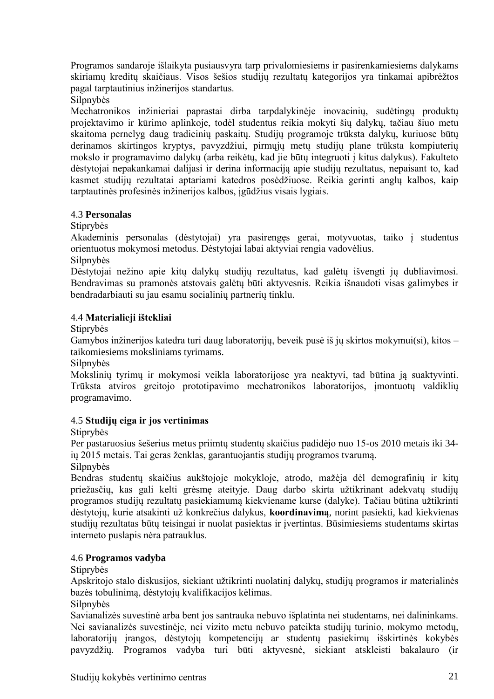Programos sandaroje išlaikyta pusiausvyra tarp privalomiesiems ir pasirenkamiesiems dalykams skiriamų kreditų skaičiaus. Visos šešios studijų rezultatų kategorijos yra tinkamai apibrėžtos pagal tarptautinius inžinerijos standartus.

Silpnybės

Mechatronikos inžinieriai paprastai dirba tarpdalykinėje inovacinių, sudėtingų produktų projektavimo ir kūrimo aplinkoje, todėl studentus reikia mokyti šių dalykų, tačiau šiuo metu skaitoma pernelyg daug tradicinių paskaitų. Studijų programoje trūksta dalykų, kuriuose būtų derinamos skirtingos kryptys, pavyzdžiui, pirmųjų metų studijų plane trūksta kompiuterių mokslo ir programavimo dalykų (arba reikėtų, kad jie būtų integruoti į kitus dalykus). Fakulteto dėstytojai nepakankamai dalijasi ir derina informaciją apie studijų rezultatus, nepaisant to, kad kasmet studijų rezultatai aptariami katedros posėdžiuose. Reikia gerinti anglų kalbos, kaip tarptautinės profesinės inžinerijos kalbos, įgūdžius visais lygiais.

### 4.3 **Personalas**

Stiprybės

Akademinis personalas (dėstytojai) yra pasirengęs gerai, motyvuotas, taiko į studentus orientuotus mokymosi metodus. Dėstytojai labai aktyviai rengia vadovėlius.

Silpnybės

Dėstytojai nežino apie kitų dalykų studijų rezultatus, kad galėtų išvengti jų dubliavimosi. Bendravimas su pramonės atstovais galėtų būti aktyvesnis. Reikia išnaudoti visas galimybes ir bendradarbiauti su jau esamu socialinių partnerių tinklu.

## 4.4 **Materialieji ištekliai**

Stiprybės

Gamybos inžinerijos katedra turi daug laboratorijų, beveik pusė iš jų skirtos mokymui(si), kitos – taikomiesiems moksliniams tyrimams.

Silpnybės

Mokslinių tyrimų ir mokymosi veikla laboratorijose yra neaktyvi, tad būtina ją suaktyvinti. Trūksta atviros greitojo prototipavimo mechatronikos laboratorijos, įmontuotų valdiklių programavimo.

## 4.5 **Studijų eiga ir jos vertinimas**

**Stiprybės** 

Per pastaruosius šešerius metus priimtų studentų skaičius padidėjo nuo 15-os 2010 metais iki 34 ių 2015 metais. Tai geras ženklas, garantuojantis studijų programos tvarumą.

Silpnybės

Bendras studentų skaičius aukštojoje mokykloje, atrodo, mažėja dėl demografinių ir kitų priežasčių, kas gali kelti grėsmę ateityje. Daug darbo skirta užtikrinant adekvatų studijų programos studijų rezultatų pasiekiamumą kiekviename kurse (dalyke). Tačiau būtina užtikrinti dėstytojų, kurie atsakinti už konkrečius dalykus, **koordinavimą**, norint pasiekti, kad kiekvienas studijų rezultatas būtų teisingai ir nuolat pasiektas ir įvertintas. Būsimiesiems studentams skirtas interneto puslapis nėra patrauklus.

## 4.6 **Programos vadyba**

Stiprybės

Apskritojo stalo diskusijos, siekiant užtikrinti nuolatinį dalykų, studijų programos ir materialinės bazės tobulinimą, dėstytojų kvalifikacijos kėlimas.

Silpnybės

Savianalizės suvestinė arba bent jos santrauka nebuvo išplatinta nei studentams, nei dalininkams. Nei savianalizės suvestinėje, nei vizito metu nebuvo pateikta studijų turinio, mokymo metodų, laboratorijų įrangos, dėstytojų kompetencijų ar studentų pasiekimų išskirtinės kokybės pavyzdžių. Programos vadyba turi būti aktyvesnė, siekiant atskleisti bakalauro (ir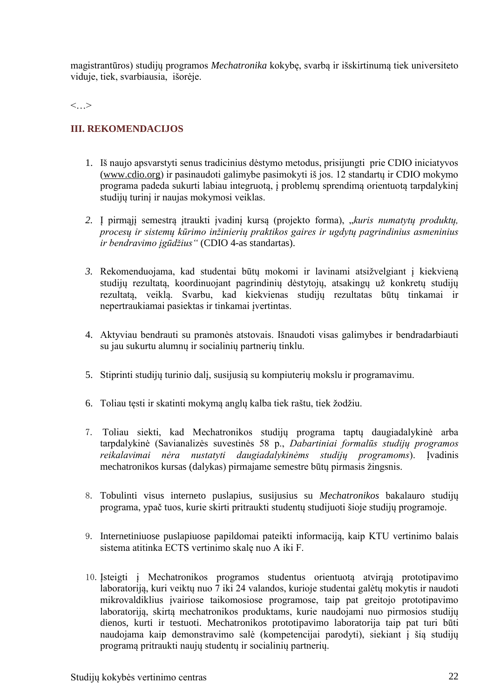magistrantūros) studijų programos *Mechatronika* kokybę, svarbą ir išskirtinumą tiek universiteto viduje, tiek, svarbiausia, išorėje.

 $\langle \cdot, \cdot \rangle$ 

## **III. REKOMENDACIJOS**

- 1. Iš naujo apsvarstyti senus tradicinius dėstymo metodus, prisijungti prie CDIO iniciatyvos [\(www.cdio.org\)](http://www.cdio.org/) ir pasinaudoti galimybe pasimokyti iš jos. 12 standartų ir CDIO mokymo programa padeda sukurti labiau integruotą, į problemų sprendimą orientuotą tarpdalykinį studijų turinį ir naujas mokymosi veiklas.
- *2.* Į pirmąjį semestrą įtraukti įvadinį kursą (projekto forma), "*kuris numatytų produktų, procesų ir sistemų kūrimo inžinierių praktikos gaires ir ugdytų pagrindinius asmeninius ir bendravimo įgūdžius"* (CDIO 4-as standartas).
- *3.* Rekomenduojama, kad studentai būtų mokomi ir lavinami atsižvelgiant į kiekvieną studijų rezultatą, koordinuojant pagrindinių dėstytojų, atsakingų už konkretų studijų rezultatą, veiklą. Svarbu, kad kiekvienas studijų rezultatas būtų tinkamai ir nepertraukiamai pasiektas ir tinkamai įvertintas.
- 4. Aktyviau bendrauti su pramonės atstovais. Išnaudoti visas galimybes ir bendradarbiauti su jau sukurtu alumnų ir socialinių partnerių tinklu.
- 5. Stiprinti studijų turinio dalį, susijusią su kompiuterių mokslu ir programavimu.
- 6. Toliau tęsti ir skatinti mokymą anglų kalba tiek raštu, tiek žodžiu.
- 7. Toliau siekti, kad Mechatronikos studijų programa taptų daugiadalykinė arba tarpdalykinė (Savianalizės suvestinės 58 p., *Dabartiniai formalūs studijų programos reikalavimai nėra nustatyti daugiadalykinėms studijų programoms*). Įvadinis mechatronikos kursas (dalykas) pirmajame semestre būtų pirmasis žingsnis.
- 8. Tobulinti visus interneto puslapius, susijusius su *Mechatronikos* bakalauro studijų programa, ypač tuos, kurie skirti pritraukti studentų studijuoti šioje studijų programoje.
- 9. Internetiniuose puslapiuose papildomai pateikti informaciją, kaip KTU vertinimo balais sistema atitinka ECTS vertinimo skalę nuo A iki F.
- 10.Įsteigti į Mechatronikos programos studentus orientuotą atvirąją prototipavimo laboratoriją, kuri veiktų nuo 7 iki 24 valandos, kurioje studentai galėtų mokytis ir naudoti mikrovaldiklius įvairiose taikomosiose programose, taip pat greitojo prototipavimo laboratoriją, skirtą mechatronikos produktams, kurie naudojami nuo pirmosios studijų dienos, kurti ir testuoti. Mechatronikos prototipavimo laboratorija taip pat turi būti naudojama kaip demonstravimo salė (kompetencijai parodyti), siekiant į šią studijų programą pritraukti naujų studentų ir socialinių partnerių.